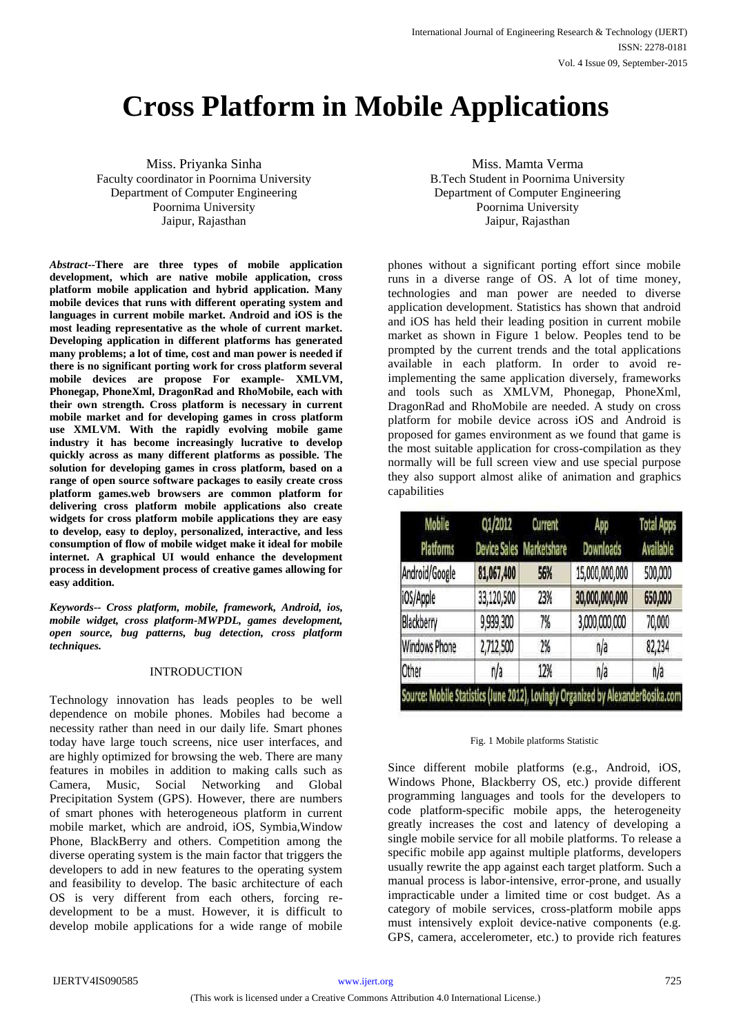# **Cross Platform in Mobile Applications**

Miss. Priyanka Sinha Faculty coordinator in Poornima University Department of Computer Engineering Poornima University Jaipur, Rajasthan

*Abstract***--There are three types of mobile application development, which are native mobile application, cross platform mobile application and hybrid application. Many mobile devices that runs with different operating system and languages in current mobile market. Android and iOS is the most leading representative as the whole of current market. Developing application in different platforms has generated many problems; a lot of time, cost and man power is needed if there is no significant porting work for cross platform several mobile devices are propose For example- XMLVM, Phonegap, PhoneXml, DragonRad and RhoMobile, each with their own strength. Cross platform is necessary in current mobile market and for developing games in cross platform use XMLVM. With the rapidly evolving mobile game industry it has become increasingly lucrative to develop quickly across as many different platforms as possible. The solution for developing games in cross platform, based on a range of open source software packages to easily create cross platform games.web browsers are common platform for delivering cross platform mobile applications also create widgets for cross platform mobile applications they are easy to develop, easy to deploy, personalized, interactive, and less consumption of flow of mobile widget make it ideal for mobile internet. A graphical UI would enhance the development process in development process of creative games allowing for easy addition.**

*Keywords-- Cross platform, mobile, framework, Android, ios, mobile widget, cross platform-MWPDL, games development, open source, bug patterns, bug detection, cross platform techniques.*

## INTRODUCTION

Technology innovation has leads peoples to be well dependence on mobile phones. Mobiles had become a necessity rather than need in our daily life. Smart phones today have large touch screens, nice user interfaces, and are highly optimized for browsing the web. There are many features in mobiles in addition to making calls such as Camera, Music, Social Networking and Global Precipitation System (GPS). However, there are numbers of smart phones with heterogeneous platform in current mobile market, which are android, iOS, Symbia,Window Phone, BlackBerry and others. Competition among the diverse operating system is the main factor that triggers the developers to add in new features to the operating system and feasibility to develop. The basic architecture of each OS is very different from each others, forcing redevelopment to be a must. However, it is difficult to develop mobile applications for a wide range of mobile

Miss. Mamta Verma B.Tech Student in Poornima University Department of Computer Engineering Poornima University Jaipur, Rajasthan

phones without a significant porting effort since mobile runs in a diverse range of OS. A lot of time money, technologies and man power are needed to diverse application development. Statistics has shown that android and iOS has held their leading position in current mobile market as shown in Figure 1 below. Peoples tend to be prompted by the current trends and the total applications available in each platform. In order to avoid reimplementing the same application diversely, frameworks and tools such as XMLVM, Phonegap, PhoneXml, DragonRad and RhoMobile are needed. A study on cross platform for mobile device across iOS and Android is proposed for games environment as we found that game is the most suitable application for cross-compilation as they normally will be full screen view and use special purpose they also support almost alike of animation and graphics capabilities

| <b>Mobile</b><br><b>Platforms</b>                                                | Q1/2012    | <b>Current</b><br><b>Device Sales Marketshare</b> | App<br><b>Downloads</b> | <b>Total Apps</b><br><b>Available</b> |
|----------------------------------------------------------------------------------|------------|---------------------------------------------------|-------------------------|---------------------------------------|
| Android/Google                                                                   | 81,067,400 | 56%                                               | 15,000,000,000          | 500,000                               |
| iOS/Apple                                                                        | 33,120,500 | 23%                                               | 30,000,000,000          | 650,000                               |
| Blackberry                                                                       | 9,939,300  | 7%                                                | 3,000,000,000           | 70,000                                |
| <b>Windows Phone</b>                                                             | 2,712,500  | 2%                                                | n/a                     | 82,234                                |
| Other                                                                            | n/a        | 12%                                               | n/a                     | n/a                                   |
| Source: Mobile Statistics (June 2012), Lovingly Organized by AlexanderBosika.com |            |                                                   |                         |                                       |

#### Fig. 1 Mobile platforms Statistic

Since different mobile platforms (e.g., Android, iOS, Windows Phone, Blackberry OS, etc.) provide different programming languages and tools for the developers to code platform-specific mobile apps, the heterogeneity greatly increases the cost and latency of developing a single mobile service for all mobile platforms. To release a specific mobile app against multiple platforms, developers usually rewrite the app against each target platform. Such a manual process is labor-intensive, error-prone, and usually impracticable under a limited time or cost budget. As a category of mobile services, cross-platform mobile apps must intensively exploit device-native components (e.g. GPS, camera, accelerometer, etc.) to provide rich features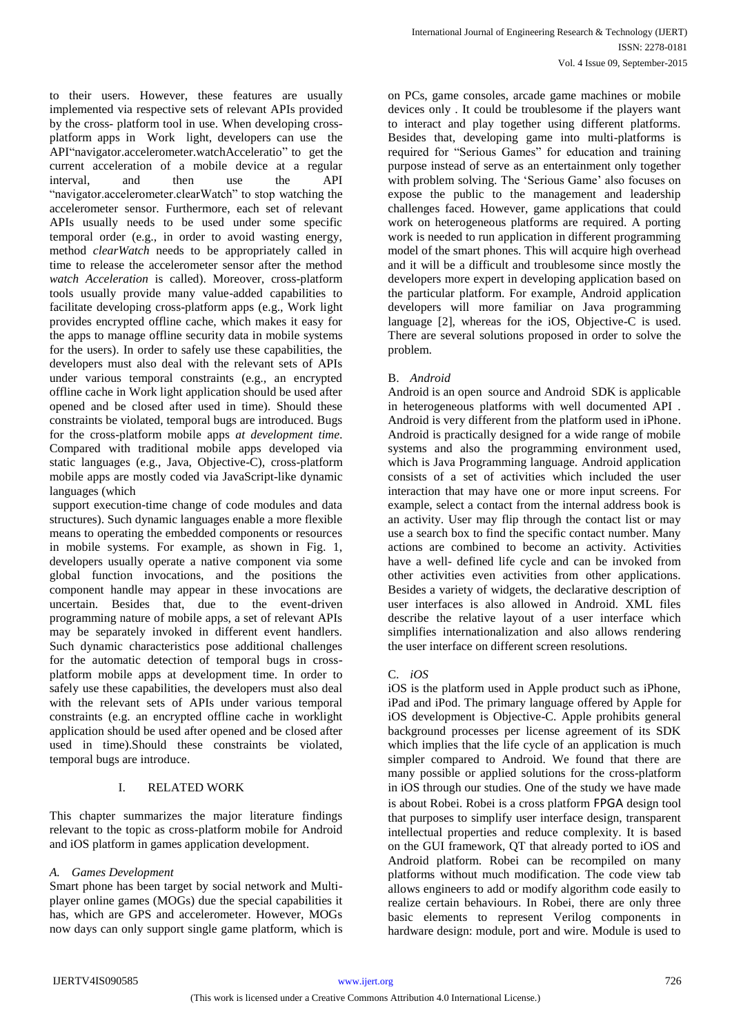to their users. However, these features are usually implemented via respective sets of relevant APIs provided by the cross- platform tool in use. When developing crossplatform apps in Work light, developers can use the API"navigator.accelerometer.watchAcceleratio" to get the current acceleration of a mobile device at a regular interval, and then use the API "navigator.accelerometer.clearWatch" to stop watching the accelerometer sensor. Furthermore, each set of relevant APIs usually needs to be used under some specific temporal order (e.g., in order to avoid wasting energy, method *clearWatch* needs to be appropriately called in time to release the accelerometer sensor after the method *watch Acceleration* is called). Moreover, cross-platform tools usually provide many value-added capabilities to facilitate developing cross-platform apps (e.g., Work light provides encrypted offline cache, which makes it easy for the apps to manage offline security data in mobile systems for the users). In order to safely use these capabilities, the developers must also deal with the relevant sets of APIs under various temporal constraints (e.g., an encrypted offline cache in Work light application should be used after opened and be closed after used in time). Should these constraints be violated, temporal bugs are introduced. Bugs for the cross-platform mobile apps *at development time*. Compared with traditional mobile apps developed via static languages (e.g., Java, Objective-C), cross-platform mobile apps are mostly coded via JavaScript-like dynamic languages (which

support execution-time change of code modules and data structures). Such dynamic languages enable a more flexible means to operating the embedded components or resources in mobile systems. For example, as shown in Fig. 1, developers usually operate a native component via some global function invocations, and the positions the component handle may appear in these invocations are uncertain. Besides that, due to the event-driven programming nature of mobile apps, a set of relevant APIs may be separately invoked in different event handlers. Such dynamic characteristics pose additional challenges for the automatic detection of temporal bugs in crossplatform mobile apps at development time. In order to safely use these capabilities, the developers must also deal with the relevant sets of APIs under various temporal constraints (e.g. an encrypted offline cache in worklight application should be used after opened and be closed after used in time).Should these constraints be violated, temporal bugs are introduce.

# I. RELATED WORK

This chapter summarizes the major literature findings relevant to the topic as cross-platform mobile for Android and iOS platform in games application development.

## *A. Games Development*

Smart phone has been target by social network and Multiplayer online games (MOGs) due the special capabilities it has, which are GPS and accelerometer. However, MOGs now days can only support single game platform, which is

on PCs, game consoles, arcade game machines or mobile devices only . It could be troublesome if the players want to interact and play together using different platforms. Besides that, developing game into multi-platforms is required for "Serious Games" for education and training purpose instead of serve as an entertainment only together with problem solving. The 'Serious Game' also focuses on expose the public to the management and leadership challenges faced. However, game applications that could work on heterogeneous platforms are required. A porting work is needed to run application in different programming model of the smart phones. This will acquire high overhead and it will be a difficult and troublesome since mostly the developers more expert in developing application based on the particular platform. For example, Android application developers will more familiar on Java programming language [2], whereas for the iOS, Objective-C is used. There are several solutions proposed in order to solve the problem.

## B. *Android*

Android is an open source and Android SDK is applicable in heterogeneous platforms with well documented API . Android is very different from the platform used in iPhone. Android is practically designed for a wide range of mobile systems and also the programming environment used, which is Java Programming language. Android application consists of a set of activities which included the user interaction that may have one or more input screens. For example, select a contact from the internal address book is an activity. User may flip through the contact list or may use a search box to find the specific contact number. Many actions are combined to become an activity. Activities have a well- defined life cycle and can be invoked from other activities even activities from other applications. Besides a variety of widgets, the declarative description of user interfaces is also allowed in Android. XML files describe the relative layout of a user interface which simplifies internationalization and also allows rendering the user interface on different screen resolutions.

#### C. *iOS*

iOS is the platform used in Apple product such as iPhone, iPad and iPod. The primary language offered by Apple for iOS development is Objective-C. Apple prohibits general background processes per license agreement of its SDK which implies that the life cycle of an application is much simpler compared to Android. We found that there are many possible or applied solutions for the cross-platform in iOS through our studies. One of the study we have made is about Robei. Robei is a cross platform FPGA design tool that purposes to simplify user interface design, transparent intellectual properties and reduce complexity. It is based on the GUI framework, QT that already ported to iOS and Android platform. Robei can be recompiled on many platforms without much modification. The code view tab allows engineers to add or modify algorithm code easily to realize certain behaviours. In Robei, there are only three basic elements to represent Verilog components in hardware design: module, port and wire. Module is used to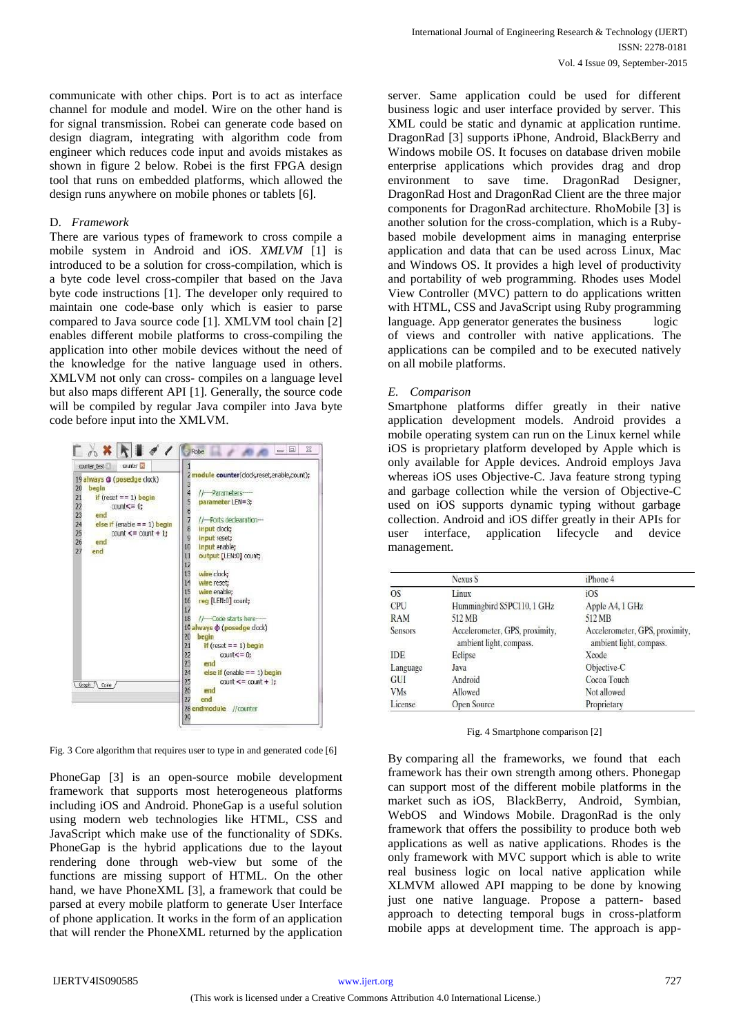communicate with other chips. Port is to act as interface channel for module and model. Wire on the other hand is for signal transmission. Robei can generate code based on design diagram, integrating with algorithm code from engineer which reduces code input and avoids mistakes as shown in figure 2 below. Robei is the first FPGA design tool that runs on embedded platforms, which allowed the design runs anywhere on mobile phones or tablets [6].

#### D. *Framework*

There are various types of framework to cross compile a mobile system in Android and iOS. *XMLVM* [1] is introduced to be a solution for cross-compilation, which is a byte code level cross-compiler that based on the Java byte code instructions [1]. The developer only required to maintain one code-base only which is easier to parse compared to Java source code [1]. XMLVM tool chain [2] enables different mobile platforms to cross-compiling the application into other mobile devices without the need of the knowledge for the native language used in others. XMLVM not only can cross- compiles on a language level but also maps different API [1]. Generally, the source code will be compiled by regular Java compiler into Java byte code before input into the XMLVM.



Fig. 3 Core algorithm that requires user to type in and generated code [6]

PhoneGap [3] is an open-source mobile development framework that supports most heterogeneous platforms including iOS and Android. PhoneGap is a useful solution using modern web technologies like HTML, CSS and JavaScript which make use of the functionality of SDKs. PhoneGap is the hybrid applications due to the layout rendering done through web-view but some of the functions are missing support of HTML. On the other hand, we have PhoneXML [3], a framework that could be parsed at every mobile platform to generate User Interface of phone application. It works in the form of an application that will render the PhoneXML returned by the application

server. Same application could be used for different business logic and user interface provided by server. This XML could be static and dynamic at application runtime. DragonRad [3] supports iPhone, Android, BlackBerry and Windows mobile OS. It focuses on database driven mobile enterprise applications which provides drag and drop environment to save time. DragonRad Designer, DragonRad Host and DragonRad Client are the three major components for DragonRad architecture. RhoMobile [3] is another solution for the cross-complation, which is a Rubybased mobile development aims in managing enterprise application and data that can be used across Linux, Mac and Windows OS. It provides a high level of productivity and portability of web programming. Rhodes uses Model View Controller (MVC) pattern to do applications written with HTML, CSS and JavaScript using Ruby programming language. App generator generates the business logic of views and controller with native applications. The applications can be compiled and to be executed natively on all mobile platforms.

## *E. Comparison*

Smartphone platforms differ greatly in their native application development models. Android provides a mobile operating system can run on the Linux kernel while iOS is proprietary platform developed by Apple which is only available for Apple devices. Android employs Java whereas iOS uses Objective-C. Java feature strong typing and garbage collection while the version of Objective-C used on iOS supports dynamic typing without garbage collection. Android and iOS differ greatly in their APIs for user interface, application lifecycle and device management.

|                | Nexus S                                                   | iPhone 4                                                  |  |
|----------------|-----------------------------------------------------------|-----------------------------------------------------------|--|
| <b>OS</b>      | Linux                                                     | iOS                                                       |  |
| CPU            | Hummingbird S5PC110, 1 GHz                                | Apple A4, 1 GHz                                           |  |
| <b>RAM</b>     | 512 MB                                                    | 512 MB                                                    |  |
| <b>Sensors</b> | Accelerometer, GPS, proximity,<br>ambient light, compass. | Accelerometer, GPS, proximity,<br>ambient light, compass. |  |
| <b>IDE</b>     | Eclipse                                                   | Xcode                                                     |  |
| Language       | Java                                                      | Objective-C                                               |  |
| GUI            | Android                                                   | Cocoa Touch                                               |  |
| <b>VMs</b>     | Allowed                                                   | Not allowed                                               |  |
| License        | <b>Open Source</b>                                        | Proprietary                                               |  |

Fig. 4 Smartphone comparison [2]

By comparing all the frameworks, we found that each framework has their own strength among others. Phonegap can support most of the different mobile platforms in the market such as iOS, BlackBerry, Android, Symbian, WebOS and Windows Mobile. DragonRad is the only framework that offers the possibility to produce both web applications as well as native applications. Rhodes is the only framework with MVC support which is able to write real business logic on local native application while XLMVM allowed API mapping to be done by knowing just one native language. Propose a pattern- based approach to detecting temporal bugs in cross-platform mobile apps at development time. The approach is app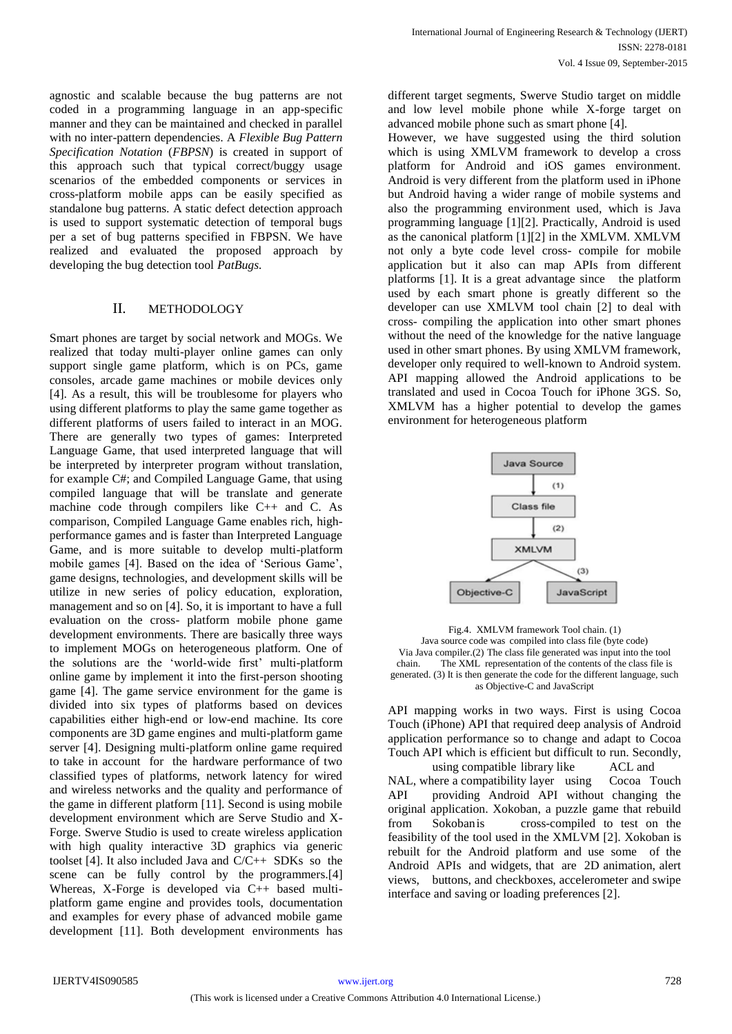agnostic and scalable because the bug patterns are not coded in a programming language in an app-specific manner and they can be maintained and checked in parallel with no inter-pattern dependencies. A *Flexible Bug Pattern Specification Notation* (*FBPSN*) is created in support of this approach such that typical correct/buggy usage scenarios of the embedded components or services in cross-platform mobile apps can be easily specified as standalone bug patterns. A static defect detection approach is used to support systematic detection of temporal bugs per a set of bug patterns specified in FBPSN. We have realized and evaluated the proposed approach by developing the bug detection tool *PatBugs.* 

## II. METHODOLOGY

Smart phones are target by social network and MOGs. We realized that today multi-player online games can only support single game platform, which is on PCs, game consoles, arcade game machines or mobile devices only [4]. As a result, this will be troublesome for players who using different platforms to play the same game together as different platforms of users failed to interact in an MOG. There are generally two types of games: Interpreted Language Game, that used interpreted language that will be interpreted by interpreter program without translation, for example C#; and Compiled Language Game, that using compiled language that will be translate and generate machine code through compilers like C++ and C. As comparison, Compiled Language Game enables rich, highperformance games and is faster than Interpreted Language Game, and is more suitable to develop multi-platform mobile games [4]. Based on the idea of 'Serious Game', game designs, technologies, and development skills will be utilize in new series of policy education, exploration, management and so on [4]. So, it is important to have a full evaluation on the cross- platform mobile phone game development environments. There are basically three ways to implement MOGs on heterogeneous platform. One of the solutions are the 'world-wide first' multi-platform online game by implement it into the first-person shooting game [4]. The game service environment for the game is divided into six types of platforms based on devices capabilities either high-end or low-end machine. Its core components are 3D game engines and multi-platform game server [4]. Designing multi-platform online game required to take in account for the hardware performance of two classified types of platforms, network latency for wired and wireless networks and the quality and performance of the game in different platform [11]. Second is using mobile development environment which are Serve Studio and X-Forge. Swerve Studio is used to create wireless application with high quality interactive 3D graphics via generic toolset [4]. It also included Java and C/C++ SDKs so the scene can be fully control by the programmers.[4] Whereas, X-Forge is developed via C++ based multiplatform game engine and provides tools, documentation and examples for every phase of advanced mobile game development [11]. Both development environments has

different target segments, Swerve Studio target on middle and low level mobile phone while X-forge target on advanced mobile phone such as smart phone [4].

However, we have suggested using the third solution which is using XMLVM framework to develop a cross platform for Android and iOS games environment. Android is very different from the platform used in iPhone but Android having a wider range of mobile systems and also the programming environment used, which is Java programming language [1][2]. Practically, Android is used as the canonical platform [1][2] in the XMLVM. XMLVM not only a byte code level cross- compile for mobile application but it also can map APIs from different platforms [1]. It is a great advantage since the platform used by each smart phone is greatly different so the developer can use XMLVM tool chain [2] to deal with cross- compiling the application into other smart phones without the need of the knowledge for the native language used in other smart phones. By using XMLVM framework, developer only required to well-known to Android system. API mapping allowed the Android applications to be translated and used in Cocoa Touch for iPhone 3GS. So, XMLVM has a higher potential to develop the games environment for heterogeneous platform



Fig.4. XMLVM framework Tool chain. (1) Java source code was compiled into class file (byte code) Via Java compiler.(2) The class file generated was input into the tool chain. The XML representation of the contents of the class file is generated. (3) It is then generate the code for the different language, such as Objective-C and JavaScript

API mapping works in two ways. First is using Cocoa Touch (iPhone) API that required deep analysis of Android application performance so to change and adapt to Cocoa Touch API which is efficient but difficult to run. Secondly,

using compatible library like ACL and NAL, where a compatibility layer using Cocoa Touch API providing Android API without changing the original application. Xokoban, a puzzle game that rebuild from Sokobanis cross-compiled to test on the feasibility of the tool used in the XMLVM [2]. Xokoban is rebuilt for the Android platform and use some of the Android APIs and widgets, that are 2D animation, alert views, buttons, and checkboxes, accelerometer and swipe interface and saving or loading preferences [2].